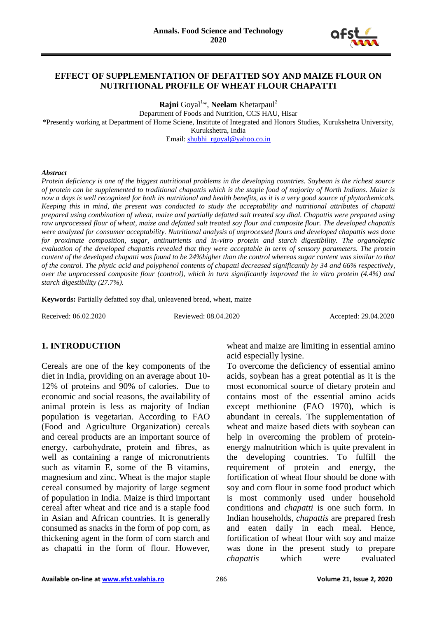

# **EFFECT OF SUPPLEMENTATION OF DEFATTED SOY AND MAIZE FLOUR ON NUTRITIONAL PROFILE OF WHEAT FLOUR CHAPATTI**

**Rajni** Goyal<sup>1</sup>\*, **Neelam** Khetarpaul<sup>2</sup>

Department of Foods and Nutrition, CCS HAU, Hisar

\*Presently working at Department of Home Sciene, Institute of Integrated and Honors Studies, Kurukshetra University, Kurukshetra, India

Email[: shubhi\\_rgoyal@yahoo.co.in](mailto:shubhi_rgoyal@yahoo.co.in)

#### *Abstract*

*Protein deficiency is one of the biggest nutritional problems in the developing countries. Soybean is the richest source of protein can be supplemented to traditional chapattis which is the staple food of majority of North Indians. Maize is now a days is well recognized for both its nutritional and health benefits, as it is a very good source of phytochemicals. Keeping this in mind, the present was conducted to study the acceptability and nutritional attributes of chapatti prepared using combination of wheat, maize and partially defatted salt treated soy dhal. Chapattis were prepared using raw unprocessed flour of wheat, maize and defatted salt treated soy flour and composite flour. The developed chapattis were analyzed for consumer acceptability. Nutritional analysis of unprocessed flours and developed chapattis was done for proximate composition, sugar, antinutrients and in-vitro protein and starch digestibility. The organoleptic evaluation of the developed chapattis revealed that they were acceptable in term of sensory parameters. The protein content of the developed chapatti was found to be 24%higher than the control whereas sugar content was similar to that of the control. The phytic acid and polyphenol contents of chapatti decreased significantly by 34 and 66% respectively, over the unprocessed composite flour (control), which in turn significantly improved the in vitro protein (4.4%) and starch digestibility (27.7%).*

**Keywords:** Partially defatted soy dhal, unleavened bread, wheat, maize

Received: 06.02.2020 Reviewed: 08.04.2020 Accepted: 29.04.2020

# **1. INTRODUCTION**

Cereals are one of the key components of the diet in India, providing on an average about 10- 12% of proteins and 90% of calories. Due to economic and social reasons, the availability of animal protein is less as majority of Indian population is vegetarian. According to FAO (Food and Agriculture Organization) cereals and cereal products are an important source of energy, carbohydrate, protein and fibres, as well as containing a range of micronutrients such as vitamin E, some of the B vitamins, magnesium and zinc. Wheat is the major staple cereal consumed by majority of large segment of population in India. Maize is third important cereal after wheat and rice and is a staple food in Asian and African countries. It is generally consumed as snacks in the form of pop corn, as thickening agent in the form of corn starch and as chapatti in the form of flour. However,

wheat and maize are limiting in essential amino acid especially lysine.

To overcome the deficiency of essential amino acids, soybean has a great potential as it is the most economical source of dietary protein and contains most of the essential amino acids except methionine (FAO 1970), which is abundant in cereals. The supplementation of wheat and maize based diets with soybean can help in overcoming the problem of proteinenergy malnutrition which is quite prevalent in the developing countries. To fulfill the requirement of protein and energy, the fortification of wheat flour should be done with soy and corn flour in some food product which is most commonly used under household conditions and *chapatti* is one such form. In Indian households, *chapattis* are prepared fresh and eaten daily in each meal. Hence, fortification of wheat flour with soy and maize was done in the present study to prepare *chapattis* which were evaluated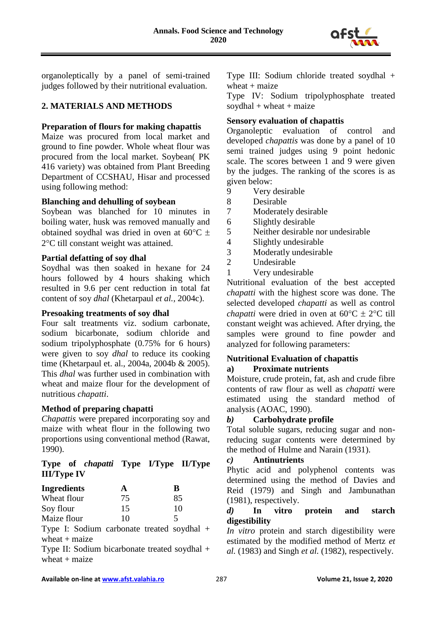

organoleptically by a panel of semi-trained judges followed by their nutritional evaluation.

# **2. MATERIALS AND METHODS**

# **Preparation of flours for making chapattis**

Maize was procured from local market and ground to fine powder. Whole wheat flour was procured from the local market. Soybean( PK 416 variety) was obtained from Plant Breeding Department of CCSHAU, Hisar and processed using following method:

# **Blanching and dehulling of soybean**

Soybean was blanched for 10 minutes in boiling water, husk was removed manually and obtained soydhal was dried in oven at  $60^{\circ}$ C  $\pm$ 2°C till constant weight was attained.

# **Partial defatting of soy dhal**

Soydhal was then soaked in hexane for 24 hours followed by 4 hours shaking which resulted in 9.6 per cent reduction in total fat content of soy *dhal* (Khetarpaul *et al.,* 2004c).

# **Presoaking treatments of soy dhal**

Four salt treatments viz. sodium carbonate, sodium bicarbonate, sodium chloride and sodium tripolyphosphate (0.75% for 6 hours) were given to soy *dhal* to reduce its cooking time (Khetarpaul et. al., 2004a, 2004b & 2005). This *dhal* was further used in combination with wheat and maize flour for the development of nutritious *chapatti*.

# **Method of preparing chapatti**

*Chapattis* were prepared incorporating soy and maize with wheat flour in the following two proportions using conventional method (Rawat, 1990).

**Type of** *chapatti* **Type I/Type II/Type III/Type IV**

| Ingredients | А  | B  |
|-------------|----|----|
| Wheat flour | 75 | 85 |
| Soy flour   | 15 | 10 |
| Maize flour | 10 |    |

Type I: Sodium carbonate treated soydhal +  $wheat + maize$ 

Type II: Sodium bicarbonate treated soydhal + wheat  $+$  maize

Type III: Sodium chloride treated soydhal + wheat  $+$  maize

Type IV: Sodium tripolyphosphate treated soydhal + wheat + maize

# **Sensory evaluation of chapattis**

Organoleptic evaluation of control and developed *chapattis* was done by a panel of 10 semi trained judges using 9 point hedonic scale. The scores between 1 and 9 were given by the judges. The ranking of the scores is as given below:

- 9 Very desirable<br>8 Desirable
- Desirable
- 7 Moderately desirable
- 6 Slightly desirable
- 5 Neither desirable nor undesirable
- 4 Slightly undesirable
- 3 Moderatly undesirable
- 2 Undesirable
- 1 Very undesirable

Nutritional evaluation of the best accepted *chapatti* with the highest score was done. The selected developed *chapatti* as well as control *chapatti* were dried in oven at  $60^{\circ}C \pm 2^{\circ}C$  till constant weight was achieved. After drying, the samples were ground to fine powder and analyzed for following parameters:

# **Nutritional Evaluation of chapattis**

# **a) Proximate nutrients**

Moisture, crude protein, fat, ash and crude fibre contents of raw flour as well as *chapatti* were estimated using the standard method of analysis (AOAC, 1990).

# *b)* **Carbohydrate profile**

Total soluble sugars, reducing sugar and nonreducing sugar contents were determined by the method of Hulme and Narain (1931).

# *c)* **Antinutrients**

Phytic acid and polyphenol contents was determined using the method of Davies and Reid (1979) and Singh and Jambunathan (1981), respectively.

# *d)* **In vitro protein and starch digestibility**

*In vitro* protein and starch digestibility were estimated by the modified method of Mertz *et al.* (1983) and Singh *et al.* (1982), respectively.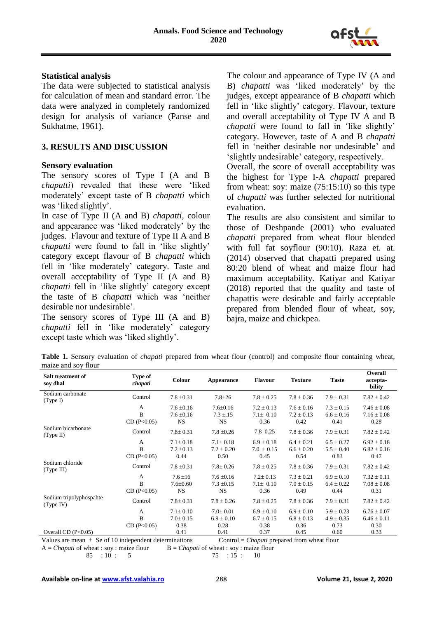

#### **Statistical analysis**

The data were subjected to statistical analysis for calculation of mean and standard error. The data were analyzed in completely randomized design for analysis of variance (Panse and Sukhatme, 1961).

# **3. RESULTS AND DISCUSSION**

#### **Sensory evaluation**

The sensory scores of Type I (A and B *chapatti*) revealed that these were 'liked moderately' except taste of B *chapatti* which was 'liked slightly'.

In case of Type II (A and B) *chapatti,* colour and appearance was 'liked moderately' by the judges. Flavour and texture of Type II A and B *chapatti* were found to fall in 'like slightly' category except flavour of B *chapatti* which fell in 'like moderately' category. Taste and overall acceptability of Type II (A and B) *chapatti* fell in 'like slightly' category except the taste of B *chapatti* which was 'neither desirable nor undesirable'.

The sensory scores of Type III (A and B) *chapatti* fell in 'like moderately' category except taste which was 'liked slightly'.

The colour and appearance of Type IV (A and B) *chapatti* was 'liked moderately' by the judges, except appearance of B *chapatti* which fell in 'like slightly' category. Flavour, texture and overall acceptability of Type IV A and B *chapatti* were found to fall in 'like slightly' category. However, taste of A and B *chapatti* fell in 'neither desirable nor undesirable' and 'slightly undesirable' category, respectively.

Overall, the score of overall acceptability was the highest for Type I-A *chapatti* prepared from wheat: soy: maize (75:15:10) so this type of *chapatti* was further selected for nutritional evaluation.

The results are also consistent and similar to those of Deshpande (2001) who evaluated *chapatti* prepared from wheat flour blended with full fat soyflour (90:10). Raza et. at. (2014) observed that chapatti prepared using 80:20 blend of wheat and maize flour had maximum acceptability. Katiyar and Katiyar (2018) reported that the quality and taste of chapattis were desirable and fairly acceptable prepared from blended flour of wheat, soy, bajra, maize and chickpea.

**Table 1.** Sensory evaluation of *chapati* prepared from wheat flour (control) and composite flour containing wheat, maize and soy flour

| Salt treatment of<br>soy dhal        | Type of<br>chapati | Colour         | Appearance     | <b>Flavour</b> | <b>Texture</b> | <b>Taste</b>   | <b>Overall</b><br>accepta-<br>bility |
|--------------------------------------|--------------------|----------------|----------------|----------------|----------------|----------------|--------------------------------------|
| Sodium carbonate<br>(Type I)         | Control            | $7.8 \pm 0.31$ | $7.8 + 26$     | $7.8 \pm 0.25$ | $7.8 \pm 0.36$ | $7.9 \pm 0.31$ | $7.82 \pm 0.42$                      |
|                                      | A                  | $7.6 \pm 0.16$ | $7.6 \pm 0.16$ | $7.2 \pm 0.13$ | $7.6 \pm 0.16$ | $7.3 \pm 0.15$ | $7.46 \pm 0.08$                      |
|                                      | B                  | $7.6 \pm 0.16$ | $7.3 \pm 15$   | $7.1 \pm 0.10$ | $7.2 \pm 0.13$ | $6.6 \pm 0.16$ | $7.16 \pm 0.08$                      |
|                                      | CD(P<0.05)         | <b>NS</b>      | <b>NS</b>      | 0.36           | 0.42           | 0.41           | 0.28                                 |
| Sodium bicarbonate<br>(Type II)      | Control            | $7.8 \pm 0.31$ | $7.8 \pm 0.26$ | 7.8 0.25       | $7.8 \pm 0.36$ | $7.9 \pm 0.31$ | $7.82 \pm 0.42$                      |
|                                      | A                  | $7.1 \pm 0.18$ | $7.1 \pm 0.18$ | $6.9 \pm 0.18$ | $6.4 \pm 0.21$ | $6.5 \pm 0.27$ | $6.92 \pm 0.18$                      |
|                                      | B                  | $7.2 \pm 0.13$ | $7.2 \pm 0.20$ | $7.0 \pm 0.15$ | $6.6 \pm 0.20$ | $5.5 \pm 0.40$ | $6.82 \pm 0.16$                      |
|                                      | CD(P<0.05)         | 0.44           | 0.50           | 0.45           | 0.54           | 0.83           | 0.47                                 |
| Sodium chloride<br>(Type III)        | Control            | $7.8 \pm 0.31$ | $7.8 \pm 0.26$ | $7.8 \pm 0.25$ | $7.8 \pm 0.36$ | $7.9 \pm 0.31$ | $7.82 \pm 0.42$                      |
|                                      | A                  | $7.6 \pm 16$   | $7.6 \pm 0.16$ | $7.2 \pm 0.13$ | $7.3 \pm 0.21$ | $6.9 \pm 0.10$ | $7.32 \pm 0.11$                      |
|                                      | B                  | $7.6 \pm 0.60$ | $7.3 \pm 0.15$ | $7.1 \pm 0.10$ | $7.0 \pm 0.15$ | $6.4 \pm 0.22$ | $7.08 \pm 0.08$                      |
|                                      | CD(P<0.05)         | <b>NS</b>      | <b>NS</b>      | 0.36           | 0.49           | 0.44           | 0.31                                 |
| Sodium tripolyphospahte<br>(Type IV) | Control            | $7.8 \pm 0.31$ | $7.8 \pm 0.26$ | $7.8 \pm 0.25$ | $7.8 \pm 0.36$ | $7.9 \pm 0.31$ | $7.82 \pm 0.42$                      |
|                                      | A                  | $7.1 \pm 0.10$ | $7.0 \pm 0.01$ | $6.9 \pm 0.10$ | $6.9 \pm 0.10$ | $5.9 \pm 0.23$ | $6.76 \pm 0.07$                      |
|                                      | B                  | $7.0 \pm 0.15$ | $6.9 \pm 0.10$ | $6.7 \pm 0.15$ | $6.8 \pm 0.13$ | $4.9 \pm 0.35$ | $6.46 \pm 0.11$                      |
|                                      | CD(P<0.05)         | 0.38           | 0.28           | 0.38           | 0.36           | 0.73           | 0.30                                 |
| Overall CD $(P<0.05)$                |                    | 0.41           | 0.41           | 0.37           | 0.45           | 0.60           | 0.33                                 |

Values are mean  $\pm$  Se of 10 independent determinations Control = *Chapati* prepared from wheat flour

 $A = Chapteri$  of wheat : soy : maize flour  $B = Chapteri$  of wheat : soy : maize flour

85 : 10 : 5 75 : 15 : 10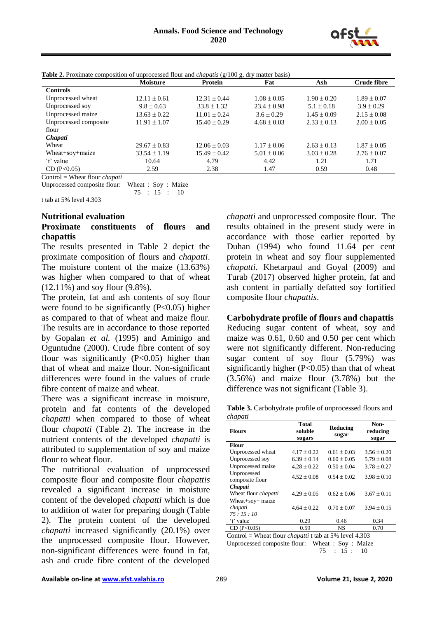

|                       | <b>Moisture</b>  | <b>Protein</b>   | Fat             | Ash             | <b>Crude fibre</b> |
|-----------------------|------------------|------------------|-----------------|-----------------|--------------------|
| <b>Controls</b>       |                  |                  |                 |                 |                    |
| Unprocessed wheat     | $12.11 \pm 0.61$ | $12.31 \pm 0.44$ | $1.08 \pm 0.05$ | $1.90 \pm 0.20$ | $1.89 \pm 0.07$    |
| Unprocessed soy       | $9.8 \pm 0.63$   | $33.8 \pm 1.32$  | $23.4 \pm 0.98$ | $5.1 \pm 0.18$  | $3.9 \pm 0.29$     |
| Unprocessed maize     | $13.63 \pm 0.22$ | $11.01 \pm 0.24$ | $3.6 \pm 0.29$  | $1.45 \pm 0.09$ | $2.15 \pm 0.08$    |
| Unprocessed composite | $11.91 \pm 1.07$ | $15.40 \pm 0.29$ | $4.68 \pm 0.03$ | $2.33 \pm 0.13$ | $2.00 \pm 0.05$    |
| flour                 |                  |                  |                 |                 |                    |
| <i>Chapati</i>        |                  |                  |                 |                 |                    |
| Wheat                 | $29.67 \pm 0.83$ | $12.06 \pm 0.03$ | $1.17 \pm 0.06$ | $2.63 \pm 0.13$ | $1.87 \pm 0.05$    |
| Wheat+soy+maize       | $33.54 \pm 1.19$ | $15.49 \pm 0.42$ | $5.01 \pm 0.06$ | $3.03 \pm 0.28$ | $2.76 \pm 0.07$    |
| 't' value             | 10.64            | 4.79             | 4.42            | 1.21            | 1.71               |
| CD (P<0.05)           | 2.59             | 2.38             | 1.47            | 0.59            | 0.48               |

**Table 2.** Proximate composition of unprocessed flour and *chapatis* (g/100 g, dry matter basis)

Control = Wheat flour *chapati*

Unprocessed composite flour: Wheat : Soy : Maize

75 : 15 : 10

t tab at 5% level 4.303

#### **Nutritional evaluation Proximate constituents of flours and chapattis**

The results presented in Table 2 depict the proximate composition of flours and *chapatti*. The moisture content of the maize (13.63%) was higher when compared to that of wheat (12.11%) and soy flour (9.8%).

The protein, fat and ash contents of soy flour were found to be significantly  $(P<0.05)$  higher as compared to that of wheat and maize flour. The results are in accordance to those reported by Gopalan *et al.* (1995) and Aminigo and Oguntudne (2000). Crude fibre content of soy flour was significantly  $(P<0.05)$  higher than that of wheat and maize flour. Non-significant differences were found in the values of crude fibre content of maize and wheat.

There was a significant increase in moisture, protein and fat contents of the developed *chapatti* when compared to those of wheat flour *chapatti* (Table 2). The increase in the nutrient contents of the developed *chapatti* is attributed to supplementation of soy and maize flour to wheat flour.

The nutritional evaluation of unprocessed composite flour and composite flour *chapattis* revealed a significant increase in moisture content of the developed *chapatti* which is due to addition of water for preparing dough (Table 2). The protein content of the developed *chapatti* increased significantly (20.1%) over the unprocessed composite flour. However, non-significant differences were found in fat, ash and crude fibre content of the developed

*chapatti* and unprocessed composite flour.The results obtained in the present study were in accordance with those earlier reported by Duhan (1994) who found 11.64 per cent protein in wheat and soy flour supplemented *chapatti*. Khetarpaul and Goyal (2009) and Turab (2017) observed higher protein, fat and ash content in partially defatted soy fortified composite flour *chapattis*.

**Carbohydrate profile of flours and chapattis** Reducing sugar content of wheat, soy and

maize was 0.61, 0.60 and 0.50 per cent which were not significantly different. Non-reducing sugar content of soy flour (5.79%) was significantly higher (P<0.05) than that of wheat (3.56%) and maize flour (3.78%) but the difference was not significant (Table 3).

**Table 3.** Carbohydrate profile of unprocessed flours and *chapati*

| <b>Flours</b>                  | <b>Total</b><br>soluble<br>sugars | Reducing<br>sugar | Non-<br>reducing<br>sugar |
|--------------------------------|-----------------------------------|-------------------|---------------------------|
| <b>Flour</b>                   |                                   |                   |                           |
| Unprocessed wheat              | $4.17 \pm 0.22$                   | $0.61 + 0.03$     | $3.56 \pm 0.20$           |
| Unprocessed soy                | $6.39 + 0.14$                     | $0.60 + 0.05$     | $5.79 \pm 0.08$           |
| Unprocessed maize              | $4.28 + 0.22$                     | $0.50 + 0.04$     | $3.78 \pm 0.27$           |
| Unprocessed<br>composite flour | $4.52 \pm 0.08$                   | $0.54 + 0.02$     | $3.98 \pm 0.10$           |
| Chapati                        |                                   |                   |                           |
| Wheat flour <i>chapatti</i>    | $4.29 + 0.05$                     | $0.62 + 0.06$     | $3.67 + 0.11$             |
| Wheat+soy+ maize               |                                   |                   |                           |
| chapati                        | $4.64 \pm 0.22$                   | $0.70 + 0.07$     | $3.94 \pm 0.15$           |
| 75:15:10                       |                                   |                   |                           |
| 't' value                      | 0.29                              | 0.46              | 0.34                      |
| CD (P<0.05)                    | 0.59                              | <b>NS</b>         | 0.70                      |
| $\sim$                         | $\bullet$<br>$\sim$ $\sim$        | ----              | $\cdots$                  |

Control = Wheat flour *chapatti* t tab at 5% level 4.303

Unprocessed composite flour: Wheat : Soy : Maize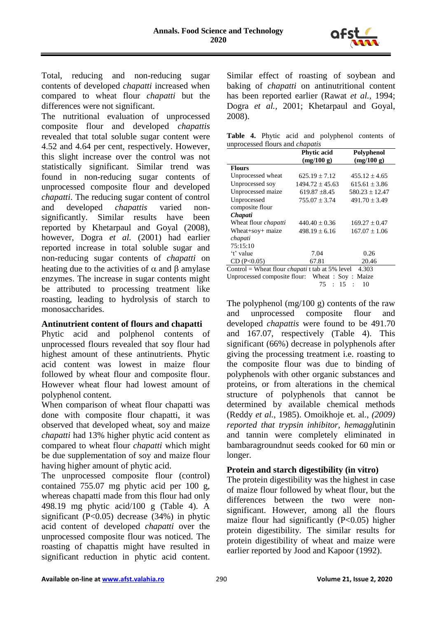

Total, reducing and non-reducing sugar contents of developed *chapatti* increased when compared to wheat flour *chapatti* but the differences were not significant.

The nutritional evaluation of unprocessed composite flour and developed *chapattis*  revealed that total soluble sugar content were 4.52 and 4.64 per cent, respectively. However, this slight increase over the control was not statistically significant. Similar trend was found in non-reducing sugar contents of unprocessed composite flour and developed *chapatti*. The reducing sugar content of control and developed *chapattis* varied nonsignificantly. Similar results have been reported by Khetarpaul and Goyal (2008), however, Dogra *et al.* (2001) had earlier reported increase in total soluble sugar and non-reducing sugar contents of *chapatti* on heating due to the activities of  $\alpha$  and  $\beta$  amylase enzymes. The increase in sugar contents might be attributed to processing treatment like roasting, leading to hydrolysis of starch to monosaccharides.

# **Antinutrient content of flours and chapatti**

Phytic acid and polphenol contents of unprocessed flours revealed that soy flour had highest amount of these antinutrients. Phytic acid content was lowest in maize flour followed by wheat flour and composite flour. However wheat flour had lowest amount of polyphenol content.

When comparison of wheat flour chapatti was done with composite flour chapatti, it was observed that developed wheat, soy and maize *chapatti* had 13% higher phytic acid content as compared to wheat flour *chapatti* which might be due supplementation of soy and maize flour having higher amount of phytic acid.

The unprocessed composite flour (control) contained 755.07 mg phytic acid per 100 g, whereas chapatti made from this flour had only 498.19 mg phytic acid/100 g (Table 4). A significant  $(P<0.05)$  decrease  $(34%)$  in phytic acid content of developed *chapatti* over the unprocessed composite flour was noticed. The roasting of chapattis might have resulted in significant reduction in phytic acid content.

Similar effect of roasting of soybean and baking of *chapatti* on antinutritional content has been reported earlier (Rawat *et al.,* 1994; Dogra *et al.,* 2001; Khetarpaul and Goyal, 2008).

|  |                                        |  | Table 4. Phytic acid and polyphenol contents of |  |
|--|----------------------------------------|--|-------------------------------------------------|--|
|  | unprocessed flours and <i>chapatis</i> |  |                                                 |  |

|                                                                 | <b>Phytic acid</b><br>(mg/100 g) | Polyphenol<br>(mg/100 g) |  |  |
|-----------------------------------------------------------------|----------------------------------|--------------------------|--|--|
| <b>Flours</b>                                                   |                                  |                          |  |  |
| Unprocessed wheat                                               | $625.19 \pm 7.12$                | $455.12 \pm 4.65$        |  |  |
| Unprocessed soy                                                 | $1494.72 \pm 45.63$              | $615.61 \pm 3.86$        |  |  |
| Unprocessed maize                                               | $619.87 \pm 8.45$                | $580.23 \pm 12.47$       |  |  |
| Unprocessed                                                     | $755.07 \pm 3.74$                | $491.70 \pm 3.49$        |  |  |
| composite flour                                                 |                                  |                          |  |  |
| Chapati                                                         |                                  |                          |  |  |
| Wheat flour <i>chapatti</i>                                     | $440.40 \pm 0.36$                | $169.27 \pm 0.47$        |  |  |
| Wheat+soy+ maize                                                | $498.19 \pm 6.16$                | $167.07 \pm 1.06$        |  |  |
| chapati                                                         |                                  |                          |  |  |
| 75:15:10                                                        |                                  |                          |  |  |
| 't' value                                                       | 7.04                             | 0.26                     |  |  |
| CD (P<0.05)                                                     | 67.81                            | 20.46                    |  |  |
| Control = Wheat flour <i>chapati</i> t tab at 5% level<br>4.303 |                                  |                          |  |  |
| Unprocessed composite flour: Wheat: Soy: Maize                  |                                  |                          |  |  |

75 : 15 : 10

The polyphenol (mg/100 g) contents of the raw and unprocessed composite flour and developed *chapattis* were found to be 491.70 and 167.07, respectively (Table 4). This significant (66%) decrease in polyphenols after giving the processing treatment i.e. roasting to the composite flour was due to binding of polyphenols with other organic substances and proteins, or from alterations in the chemical structure of polyphenols that cannot be determined by available chemical methods (Reddy *et al.,* 1985). Omoikhoje et. al., *(2009) reported that trypsin inhibitor, hemaggl*utinin and tannin were completely eliminated in bambaragroundnut seeds cooked for 60 min or longer.

# **Protein and starch digestibility (in vitro)**

The protein digestibility was the highest in case of maize flour followed by wheat flour, but the differences between the two were nonsignificant. However, among all the flours maize flour had significantly  $(P<0.05)$  higher protein digestibility. The similar results for protein digestibility of wheat and maize were earlier reported by Jood and Kapoor (1992).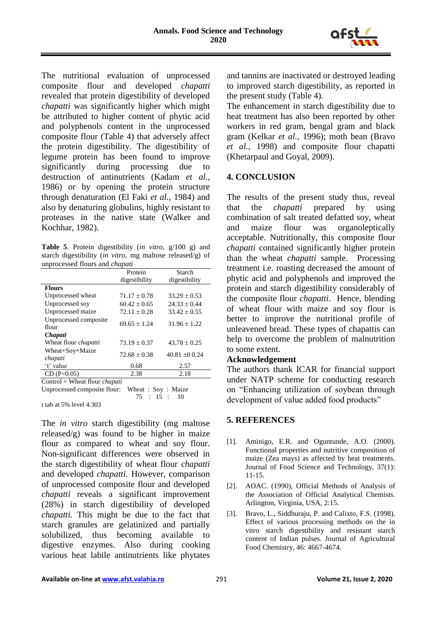

The nutritional evaluation of unprocessed composite flour and developed *chapatti* revealed that protein digestibility of developed *chapatti* was significantly higher which might be attributed to higher content of phytic acid and polyphenols content in the unprocessed composite flour (Table 4) that adversely affect the protein digestibility. The digestibility of legume protein has been found to improve significantly during processing due to destruction of antinutrients (Kadam *et al.,*  1986) or by opening the protein structure through denaturation (El Faki *et al.,* 1984) and also by denaturing globulins, highly resistant to proteases in the native state (Walker and Kochhar, 1982).

**Table 5**. Protein digestibility (*in vitro,* g/100 g) and starch digestibility (*in vitro*, mg maltose released/g) of unprocessed flours and *chapati*

|                                                                                                                                                                                                                                                                                                             | Protein          | Starch           |
|-------------------------------------------------------------------------------------------------------------------------------------------------------------------------------------------------------------------------------------------------------------------------------------------------------------|------------------|------------------|
|                                                                                                                                                                                                                                                                                                             | digestibility    | digestibility    |
| <b>Flours</b>                                                                                                                                                                                                                                                                                               |                  |                  |
| Unprocessed wheat                                                                                                                                                                                                                                                                                           | $71.17 \pm 0.78$ | $33.29 \pm 0.53$ |
| Unprocessed soy                                                                                                                                                                                                                                                                                             | $60.42 \pm 0.65$ | $24.33 \pm 0.44$ |
| Unprocessed maize                                                                                                                                                                                                                                                                                           | $72.11 \pm 0.28$ | $33.42 \pm 0.55$ |
| Unprocessed composite                                                                                                                                                                                                                                                                                       | $69.65 \pm 1.24$ | $31.96 \pm 1.22$ |
| flour                                                                                                                                                                                                                                                                                                       |                  |                  |
| Chapati                                                                                                                                                                                                                                                                                                     |                  |                  |
| Wheat flour <i>chapatti</i>                                                                                                                                                                                                                                                                                 | $73.19 \pm 0.37$ | $43.78 \pm 0.25$ |
| Wheat+Soy+Maize<br>chapati                                                                                                                                                                                                                                                                                  | $72.68 \pm 0.38$ | $40.81 \pm 0.24$ |
| 't' value                                                                                                                                                                                                                                                                                                   | 0.68             | 2.57             |
| CD(P<0.05)                                                                                                                                                                                                                                                                                                  | 2.38             | 2.18             |
| Control = Wheat flour <i>chapati</i>                                                                                                                                                                                                                                                                        |                  |                  |
| $\mathbf{r}$ , $\mathbf{r}$ , $\mathbf{r}$ , $\mathbf{r}$ , $\mathbf{r}$ , $\mathbf{r}$ , $\mathbf{r}$ , $\mathbf{r}$ , $\mathbf{r}$ , $\mathbf{r}$ , $\mathbf{r}$ , $\mathbf{r}$ , $\mathbf{r}$ , $\mathbf{r}$ , $\mathbf{r}$ , $\mathbf{r}$ , $\mathbf{r}$ , $\mathbf{r}$ , $\mathbf{r}$ , $\mathbf{r}$ , | $\mathbf{u}$     |                  |

Unprocessed composite flour: Wheat : Soy : Maize 75 : 15 : 10

t tab at 5% level 4.303

The *in vitro* starch digestibility (mg maltose released/g) was found to be higher in maize flour as compared to wheat and soy flour. Non-significant differences were observed in the starch digestibility of wheat flour *chapatti* and developed *chapatti*. However, comparison of unprocessed composite flour and developed *chapatti* reveals a significant improvement (28%) in starch digestibility of developed *chapatti.* This might be due to the fact that starch granules are gelatinized and partially solubilized, thus becoming available to digestive enzymes. Also during cooking various heat labile antinutrients like phytates

and tannins are inactivated or destroyed leading to improved starch digestibility, as reported in the present study (Table 4).

The enhancement in starch digestibility due to heat treatment has also been reported by other workers in red gram, bengal gram and black gram (Kelkar *et al.,* 1996); moth bean (Bravo *et al.,* 1998) and composite flour chapatti (Khetarpaul and Goyal, 2009).

# **4. CONCLUSION**

The results of the present study thus, reveal that the *chapatti* prepared by using combination of salt treated defatted soy, wheat and maize flour was organoleptically acceptable. Nutritionally, this composite flour *chapatti* contained significantly higher protein than the wheat *chapatti* sample. Processing treatment i.e. roasting decreased the amount of phytic acid and polyphenols and improved the protein and starch digestibility considerably of the composite flour *chapatti*. Hence, blending of wheat flour with maize and soy flour is better to improve the nutritional profile of unleavened bread. These types of chapattis can help to overcome the problem of malnutrition to some extent.

# **Acknowledgement**

The authors thank ICAR for financial support under NATP scheme for conducting research on "Enhancing utilization of soybean through development of value added food products"

# **5. REFERENCES**

- [1]. Aminigo, E.R. and Oguntunde, A.O. (2000). Functional properties and nutritive composition of maize (Zea mays) as affected by heat treatments. Journal of Food Science and Technology, 37(1): 11-15.
- [2]. AOAC. (1990), Official Methods of Analysis of the Association of Official Analytical Chemists. Arlington, Virginia, USA, 2:15.
- [3]. Bravo, L., Siddhuraju, P. and Calixto, F.S. (1998). Effect of various processing methods on the in vitro starch digestibility and resistant starch content of Indian pulses. Journal of Agricultural Food Chemistry, 46: 4667-4674.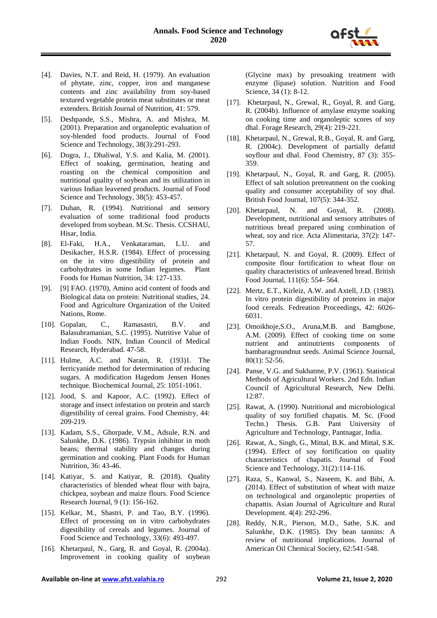

- [4]. Davies, N.T. and Reid, H. (1979). An evaluation of phytate, zinc, copper, iron and manganese contents and zinc availability from soy-based textured vegetable protein meat substitutes or meat extenders. British Journal of Nutrition, 41: 579.
- [5]. Deshpande, S.S., Mishra, A. and Mishra, M. (2001). Preparation and organoleptic evaluation of soy-blended food products. Journal of Food Science and Technology, 38(3):291-293.
- [6]. Dogra, J., Dhaliwal, Y.S. and Kalia, M. (2001). Effect of soaking, germination, heating and roasting on the chemical composition and nutritional quality of soybean and its utilization in various Indian leavened products. Journal of Food Science and Technology, 38(5): 453-457.
- [7]. Duhan, R. (1994). Nutritional and sensory evaluation of some traditional food products developed from soybean. M.Sc. Thesis. CCSHAU, Hisar, India.
- [8]. El-Faki, H.A., Venkataraman, L.U. and Desikacher, H.S.R. (1984). Effect of processing on the in vitro digestibility of protein and carbohydrates in some Indian legumes. Plant Foods for Human Nutrition, 34: 127-133.
- [9]. [9] FAO. (1970), Amino acid content of foods and Biological data on protein: Nutritional studies, 24. Food and Agriculture Organization of the United Nations, Rome.
- [10]. Gopalan, C., Ramasastri, B.V. and Balasubramanian, S.C. (1995). Nutritive Value of Indian Foods. NIN, Indian Council of Medical Research, Hyderabad. 47-58.
- [11]. Hulme, A.C. and Narain, R. (193)1. The ferricyanide method for determination of reducing sugars. A modification Hagedom Jensen Hones technique. Biochemical Journal, 25: 1051-1061.
- [12]. Jood, S. and Kapoor, A.C. (1992). Effect of storage and insect infestation on protein and starch digestibility of cereal grains. Food Chemistry, 44: 209-219.
- [13]. Kadam, S.S., Ghorpade, V.M., Adsule, R.N. and Salunkhe, D.K. (1986). Trypsin inhibitor in moth beans; thermal stability and changes during germination and cooking. Plant Foods for Human Nutrition, 36: 43-46.
- [14]. Katiyar, S. and Katiyar, R. (2018). Quality characteristics of blended wheat flour with bajra, chickpea, soybean and maize flours. Food Science Research Journal, 9 (1): 156-162.
- [15]. Kelkar, M., Shastri, P. and Tao, B.Y. (1996). Effect of processing on in vitro carbohydrates digestibility of cereals and legumes. Journal of Food Science and Technology, 33(6): 493-497.
- [16]. Khetarpaul, N., Garg, R. and Goyal, R. (2004a). Improvement in cooking quality of soybean

(Glycine max) by presoaking treatment with enzyme (lipase) solution. Nutrition and Food Science, 34 (1): 8-12.

- [17]. Khetarpaul, N., Grewal, R., Goyal, R. and Garg, R. (2004b). Influence of amylase enzyme soaking on cooking time and organoleptic scores of soy dhal. Forage Research, 29(4): 219-221.
- [18]. Khetarpaul, N., Grewal, R.B., Goyal, R. and Garg, R. (2004c). Development of partially defattd soyflour and dhal. Food Chemistry, 87 (3): 355- 359.
- [19]. Khetarpaul, N., Goyal, R. and Garg, R. (2005). Effect of salt solution pretreatment on the cooking quality and consumer acceptability of soy dhal. British Food Journal, 107(5): 344-352.
- [20]. Khetarpaul, N. and Goyal, R. (2008). Development, nutritional and sensory attributes of nutritious bread prepared using combination of wheat, soy and rice. Acta Alimentaria, 37(2): 147- 57.
- [21]. Khetarpaul, N. and Goyal, R. (2009). Effect of composite flour fortification to wheat flour on quality characteristics of unleavened bread. British Food Journal, 111(6): 554- 564.
- [22]. Mertz, E.T., Kirleiz, A.W. and Axtell, J.D. (1983). In vitro protein digestibility of proteins in major food cereals. Fedreation Proceedings, 42: 6026- 6031.
- [23]. Omoikhoje, S.O., Aruna, M.B. and Bamgbose, A.M. (2009). Effect of cooking time on some nutrient and antinutrients components of bambaragroundnut seeds. Animal Science Journal, 80(1): 52-56.
- [24]. Panse, V.G. and Sukhatme, P.V. (1961). Statistical Methods of Agricultural Workers. 2nd Edn. Indian Council of Agricultural Research, New Delhi. 12:87.
- [25]. Rawat, A. (1990). Nutritional and microbiological quality of soy fortified chapatis. M. Sc. (Food Techn.) Thesis. G.B. Pant University of Agriculture and Technology, Pantnagar, India.
- [26]. Rawat, A., Singh, G., Mittal, B.K. and Mittal, S.K. (1994). Effect of soy fortification on quality characteristics of chapatis. Journal of Food Science and Technology, 31(2):114-116.
- [27]. Raza, S., Kanwal, S., Naseem, K. and Bibi, A. (2014). Effect of substitution of wheat with maize on technological and organoleptic properties of chapattis. Asian Journal of Agriculture and Rural Development. 4(4): 292-296.
- [28]. Reddy, N.R., Pierson, M.D., Sathe, S.K. and Salunkhe, D.K. (1985). Dry bean tannins: A review of nutritional implications. Journal of American Oil Chemical Society, 62:541-548.